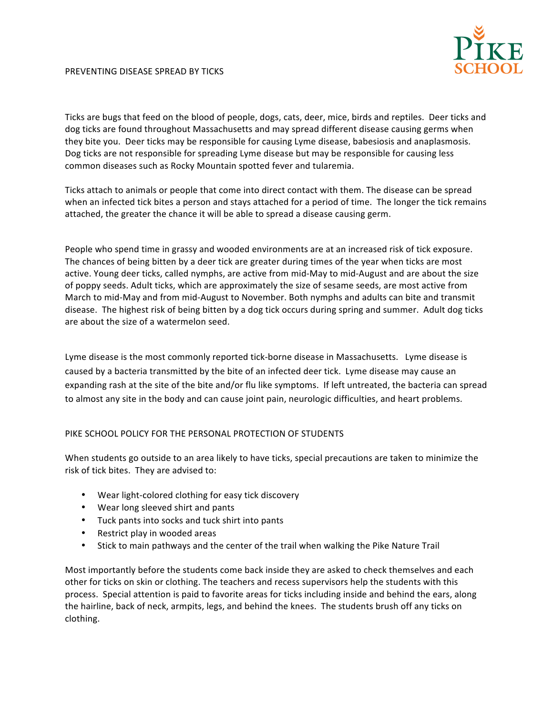## PREVENTING DISEASE SPREAD BY TICKS



Ticks are bugs that feed on the blood of people, dogs, cats, deer, mice, birds and reptiles. Deer ticks and dog ticks are found throughout Massachusetts and may spread different disease causing germs when they bite you. Deer ticks may be responsible for causing Lyme disease, babesiosis and anaplasmosis. Dog ticks are not responsible for spreading Lyme disease but may be responsible for causing less common diseases such as Rocky Mountain spotted fever and tularemia.

Ticks attach to animals or people that come into direct contact with them. The disease can be spread when an infected tick bites a person and stays attached for a period of time. The longer the tick remains attached, the greater the chance it will be able to spread a disease causing germ.

People who spend time in grassy and wooded environments are at an increased risk of tick exposure. The chances of being bitten by a deer tick are greater during times of the year when ticks are most active. Young deer ticks, called nymphs, are active from mid-May to mid-August and are about the size of poppy seeds. Adult ticks, which are approximately the size of sesame seeds, are most active from March to mid-May and from mid-August to November. Both nymphs and adults can bite and transmit disease. The highest risk of being bitten by a dog tick occurs during spring and summer. Adult dog ticks are about the size of a watermelon seed.

Lyme disease is the most commonly reported tick-borne disease in Massachusetts. Lyme disease is caused by a bacteria transmitted by the bite of an infected deer tick. Lyme disease may cause an expanding rash at the site of the bite and/or flu like symptoms. If left untreated, the bacteria can spread to almost any site in the body and can cause joint pain, neurologic difficulties, and heart problems.

## PIKE SCHOOL POLICY FOR THE PERSONAL PROTECTION OF STUDENTS

When students go outside to an area likely to have ticks, special precautions are taken to minimize the risk of tick bites. They are advised to:

- Wear light-colored clothing for easy tick discovery
- Wear long sleeved shirt and pants
- Tuck pants into socks and tuck shirt into pants
- Restrict play in wooded areas
- Stick to main pathways and the center of the trail when walking the Pike Nature Trail

Most importantly before the students come back inside they are asked to check themselves and each other for ticks on skin or clothing. The teachers and recess supervisors help the students with this process. Special attention is paid to favorite areas for ticks including inside and behind the ears, along the hairline, back of neck, armpits, legs, and behind the knees. The students brush off any ticks on clothing.